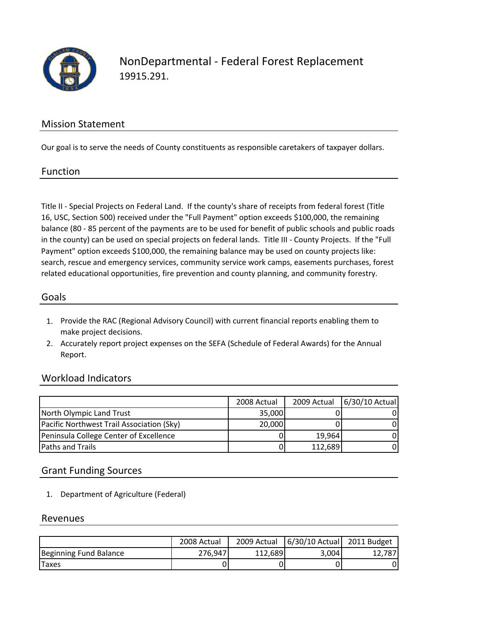

NonDepartmental ‐ Federal Forest Replacement 19915.291.

### Mission Statement

Our goal is to serve the needs of County constituents as responsible caretakers of taxpayer dollars.

#### Function

Title II ‐ Special Projects on Federal Land. If the county's share of receipts from federal forest (Title 16, USC, Section 500) received under the "Full Payment" option exceeds \$100,000, the remaining balance (80 ‐ 85 percent of the payments are to be used for benefit of public schools and public roads in the county) can be used on special projects on federal lands. Title III ‐ County Projects. If the "Full Payment" option exceeds \$100,000, the remaining balance may be used on county projects like: search, rescue and emergency services, community service work camps, easements purchases, forest related educational opportunities, fire prevention and county planning, and community forestry.

### Goals

- 1. Provide the RAC (Regional Advisory Council) with current financial reports enabling them to make project decisions.
- 2. Accurately report project expenses on the SEFA (Schedule of Federal Awards) for the Annual Report.

### Workload Indicators

|                                           | 2008 Actual | 2009 Actual | 6/30/10 Actual |
|-------------------------------------------|-------------|-------------|----------------|
| North Olympic Land Trust                  | 35,000      |             |                |
| Pacific Northwest Trail Association (Sky) | 20,000      |             |                |
| Peninsula College Center of Excellence    |             | 19,964      |                |
| <b>Paths and Trails</b>                   | 0           | 112,689     |                |

### Grant Funding Sources

1. Department of Agriculture (Federal)

#### Revenues

|                        | 2008 Actual | 2009 Actual | 6/30/10 Actual 2011 Budget |        |
|------------------------|-------------|-------------|----------------------------|--------|
| Beginning Fund Balance | 276,947     | 112.689     | 3,004                      | 12.787 |
| <b>Taxes</b>           |             |             |                            |        |